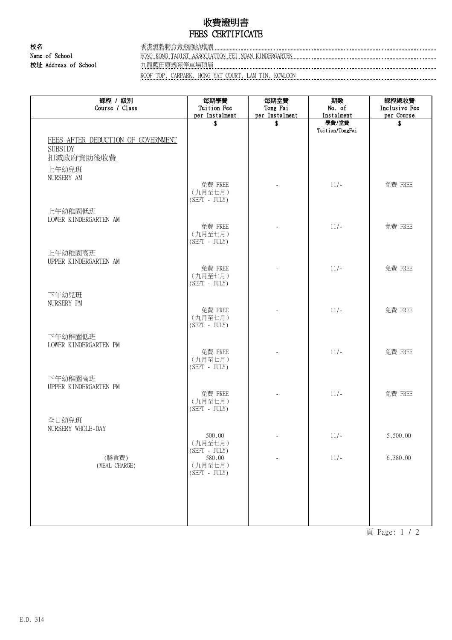## 收費證明書 FEES CERTIFICATE

校名 香港道教聯合會飛雁幼稚園

Name of School **HONG KONG TAOIST ASSOCIATION FEI NGAN KINDERGARTEN MAGE AND ACCOMMENDANCE SCHOOL** 校址 Address of School 九龍藍田康逸苑停車場頂層

ROOF TOP, CARPARK, HONG YAT COURT, LAM TIN, KOWLOON

| 課程 / 級別<br>Course / Class                                         | 每期學費<br>Tuition Fee                   | 每期堂費<br>Tong Fai | 期數<br>No. of    | 課程總收費<br>Inclusive Fee |
|-------------------------------------------------------------------|---------------------------------------|------------------|-----------------|------------------------|
|                                                                   | per Instalment                        | per Instalment   | Instalment      | per Course             |
|                                                                   | \$                                    | \$               | 學費/堂費           | \$                     |
| FEES AFTER DEDUCTION OF GOVERNMENT<br><b>SUBSIDY</b><br>扣減政府資助後收費 |                                       |                  | Tuition/TongFai |                        |
| 上午幼兒班<br>NURSERY AM                                               |                                       |                  |                 |                        |
|                                                                   | 免費 FREE<br>(九月至七月)<br>$(SEPT - JULY)$ |                  | $11/-$          | 免費 FREE                |
| 上午幼稚園低班<br>LOWER KINDERGARTEN AM                                  |                                       |                  |                 |                        |
|                                                                   | 免費 FREE<br>(九月至七月)<br>$(SEPT - JULY)$ |                  | $11/-$          | 免費 FREE                |
| 上午幼稚園高班<br>UPPER KINDERGARTEN AM                                  | 免費 FREE                               |                  | $11/-$          | 免費 FREE                |
|                                                                   | (九月至七月)<br>$(SEPT - JULY)$            |                  |                 |                        |
| 下午幼兒班<br>NURSERY PM                                               |                                       |                  |                 |                        |
|                                                                   | 免費 FREE<br>(九月至七月)<br>$(SEPT - JULY)$ |                  | $11/-$          | 免費 FREE                |
| 下午幼稚園低班<br>LOWER KINDERGARTEN PM                                  | 免費 FREE                               |                  | $11/-$          | 免費 FREE                |
|                                                                   | (九月至七月)<br>$(SEPT - JULY)$            |                  |                 |                        |
| 下午幼稚園高班<br>UPPER KINDERGARTEN PM                                  | 免費 FREE                               |                  | $11/-$          | 免費 FREE                |
|                                                                   | (九月至七月)<br>$(SEPT - JULY)$            |                  |                 |                        |
| 全日幼兒班<br>NURSERY WHOLE-DAY                                        | 500.00                                |                  | $11/-$          | 5,500.00               |
|                                                                   | (九月至七月)<br>$(SEPT - JULY)$            |                  |                 |                        |
| (膳食費)<br>(MEAL CHARGE)                                            | 580.00<br>(九月至七月)<br>$(SEPT - JULY)$  |                  | $11/-$          | 6,380.00               |
|                                                                   |                                       |                  |                 |                        |
|                                                                   |                                       |                  |                 |                        |

頁 Page: 1 / 2